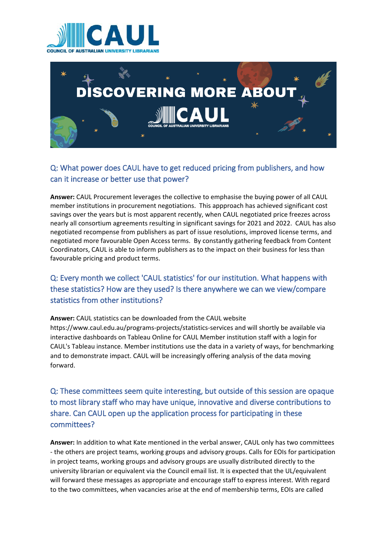



# Q: What power does CAUL have to get reduced pricing from publishers, and how can it increase or better use that power?

**Answer:** CAUL Procurement leverages the collective to emphasise the buying power of all CAUL member institutions in procurement negotiations. This appproach has achieved significant cost savings over the years but is most apparent recently, when CAUL negotiated price freezes across nearly all consortium agreements resulting in significant savings for 2021 and 2022. CAUL has also negotiated recompense from publishers as part of issue resolutions, improved license terms, and negotiated more favourable Open Access terms. By constantly gathering feedback from Content Coordinators, CAUL is able to inform publishers as to the impact on their business for less than favourable pricing and product terms.

### Q: Every month we collect 'CAUL statistics' for our institution. What happens with these statistics? How are they used? Is there anywhere we can we view/compare statistics from other institutions?

#### **Answer:** CAUL statistics can be downloaded from the CAUL website https://www.caul.edu.au/programs-projects/statistics-services and will shortly be available via interactive dashboards on Tableau Online for CAUL Member institution staff with a login for CAUL's Tableau instance. Member institutions use the data in a variety of ways, for benchmarking and to demonstrate impact. CAUL will be increasingly offering analysis of the data moving forward.

# Q: These committees seem quite interesting, but outside of this session are opaque to most library staff who may have unique, innovative and diverse contributions to share. Can CAUL open up the application process for participating in these committees?

**Answer:** In addition to what Kate mentioned in the verbal answer, CAUL only has two committees - the others are project teams, working groups and advisory groups. Calls for EOIs for participation in project teams, working groups and advisory groups are usually distributed directly to the university librarian or equivalent via the Council email list. It is expected that the UL/equivalent will forward these messages as appropriate and encourage staff to express interest. With regard to the two committees, when vacancies arise at the end of membership terms, EOIs are called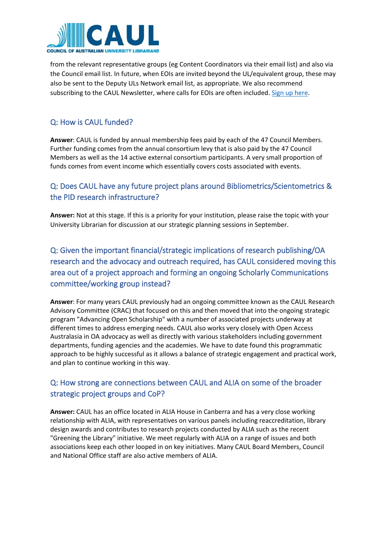

from the relevant representative groups (eg Content Coordinators via their email list) and also via the Council email list. In future, when EOIs are invited beyond the UL/equivalent group, these may also be sent to the Deputy ULs Network email list, as appropriate. We also recommend subscribing to the CAUL Newsletter, where calls for EOIs are often included. [Sign up here.](http://www.vision6.com.au/em/forms/subscribe.php?db=383721&s=114629&a=59452&k=f64973b)

#### Q: How is CAUL funded?

**Answer**: CAUL is funded by annual membership fees paid by each of the 47 Council Members. Further funding comes from the annual consortium levy that is also paid by the 47 Council Members as well as the 14 active external consortium participants. A very small proportion of funds comes from event income which essentially covers costs associated with events.

#### Q: Does CAUL have any future project plans around Bibliometrics/Scientometrics & the PID research infrastructure?

**Answer:** Not at this stage. If this is a priority for your institution, please raise the topic with your University Librarian for discussion at our strategic planning sessions in September.

Q: Given the important financial/strategic implications of research publishing/OA research and the advocacy and outreach required, has CAUL considered moving this area out of a project approach and forming an ongoing Scholarly Communications committee/working group instead?

**Answer**: For many years CAUL previously had an ongoing committee known as the CAUL Research Advisory Committee (CRAC) that focused on this and then moved that into the ongoing strategic program "Advancing Open Scholarship" with a number of associated projects underway at different times to address emerging needs. CAUL also works very closely with Open Access Australasia in OA advocacy as well as directly with various stakeholders including government departments, funding agencies and the academies. We have to date found this programmatic approach to be highly successful as it allows a balance of strategic engagement and practical work, and plan to continue working in this way.

### Q: How strong are connections between CAUL and ALIA on some of the broader strategic project groups and CoP?

**Answer:** CAUL has an office located in ALIA House in Canberra and has a very close working relationship with ALIA, with representatives on various panels including reaccreditation, library design awards and contributes to research projects conducted by ALIA such as the recent "Greening the Library" initiative. We meet regularly with ALIA on a range of issues and both associations keep each other looped in on key initiatives. Many CAUL Board Members, Council and National Office staff are also active members of ALIA.